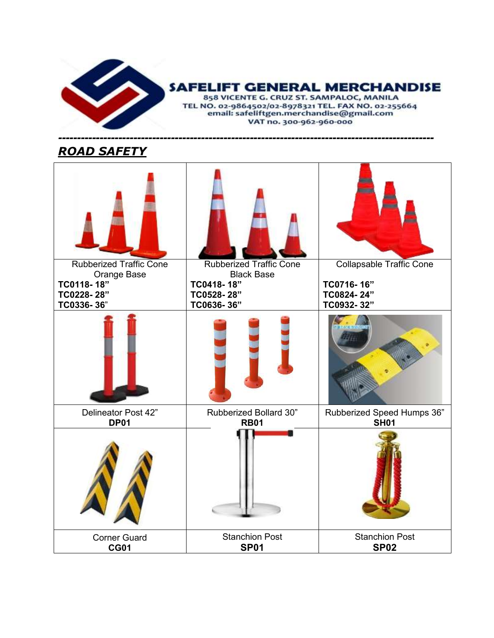

#### **SAFELIFT GENERAL MERCHANDISE**

*----------------------------------------------------------------------------------------------------*

858 VICENTE G. CRUZ ST. SAMPALOC, MANILA TEL NO. 02-9864502/02-8978321 TEL. FAX NO. 02-255664 email: safeliftgen.merchandise@gmail.com VAT no. 300-962-960-000

# *ROAD SAFETY*

| <b>Rubberized Traffic Cone</b><br>Orange Base<br>TC0118-18"<br>TC0228-28"<br>TC0336-36" | <b>Rubberized Traffic Cone</b><br><b>Black Base</b><br>TC0418-18"<br>TC0528-28"<br>TC0636-36" | <b>Collapsable Traffic Cone</b><br>TC0716-16"<br>TC0824-24"<br>TC0932-32" |
|-----------------------------------------------------------------------------------------|-----------------------------------------------------------------------------------------------|---------------------------------------------------------------------------|
|                                                                                         |                                                                                               |                                                                           |
| Delineator Post 42"<br><b>DP01</b>                                                      | Rubberized Bollard 30"<br><b>RB01</b>                                                         | Rubberized Speed Humps 36"<br><b>SH01</b>                                 |
|                                                                                         |                                                                                               |                                                                           |
| <b>Corner Guard</b><br><b>CG01</b>                                                      | <b>Stanchion Post</b><br><b>SP01</b>                                                          | <b>Stanchion Post</b><br><b>SP02</b>                                      |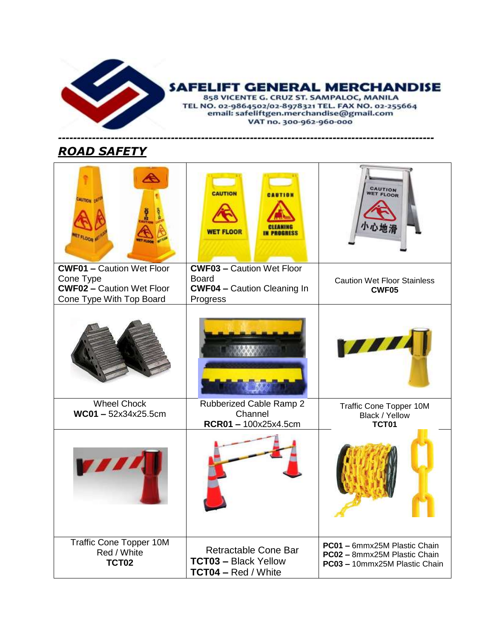

#### **SAFELIFT GENERAL MERCHANDISE**

*----------------------------------------------------------------------------------------------------*

858 VICENTE G. CRUZ ST. SAMPALOC, MANILA TEL NO. 02-9864502/02-8978321 TEL. FAX NO. 02-255664 email: safeliftgen.merchandise@gmail.com VAT no. 300-962-960-000

# *ROAD SAFETY*

| CAUTION OF<br><b>LOOp of</b>                                                                                  | <b>CAUTION</b><br>CAUTION<br><b>WET FLOOR</b><br>IN PRACHESS                                       | CAUTION<br>VET FLOOR<br>聊:                                                                    |
|---------------------------------------------------------------------------------------------------------------|----------------------------------------------------------------------------------------------------|-----------------------------------------------------------------------------------------------|
| <b>CWF01 - Caution Wet Floor</b><br>Cone Type<br><b>CWF02 - Caution Wet Floor</b><br>Cone Type With Top Board | <b>CWF03 - Caution Wet Floor</b><br><b>Board</b><br><b>CWF04 - Caution Cleaning In</b><br>Progress | <b>Caution Wet Floor Stainless</b><br>CWF05                                                   |
|                                                                                                               |                                                                                                    | <b>TAL</b>                                                                                    |
| <b>Wheel Chock</b><br>$WC01 - 52x34x25.5cm$                                                                   | Rubberized Cable Ramp 2<br>Channel<br>RCR01-100x25x4.5cm                                           | Traffic Cone Topper 10M<br>Black / Yellow<br>TCT01                                            |
|                                                                                                               |                                                                                                    |                                                                                               |
| <b>Traffic Cone Topper 10M</b><br>Red / White<br>TCT02                                                        | Retractable Cone Bar<br><b>TCT03 - Black Yellow</b><br><b>TCT04 - Red / White</b>                  | PC01 - 6mmx25M Plastic Chain<br>PC02 - 8mmx25M Plastic Chain<br>PC03 - 10mmx25M Plastic Chain |